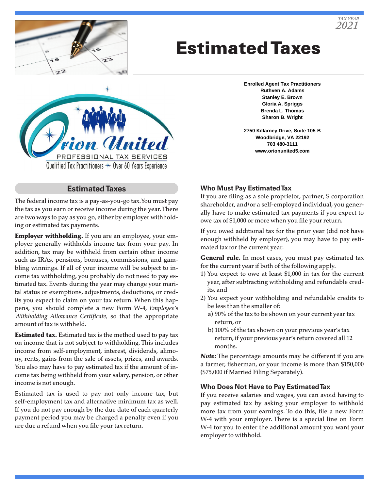

# Estimated Taxes



### **Estimated Taxes**

The federal income tax is a pay-as-you-go tax. You must pay the tax as you earn or receive income during the year. There are two ways to pay as you go, either by employer withholding or estimated tax payments.

**Employer withholding.** If you are an employee, your employer generally withholds income tax from your pay. In addition, tax may be withheld from certain other income such as IRAs, pensions, bonuses, commissions, and gambling winnings. If all of your income will be subject to income tax withholding, you probably do not need to pay estimated tax. Events during the year may change your marital status or exemptions, adjustments, deductions, or credits you expect to claim on your tax return. When this happens, you should complete a new Form W-4, *Employee's Withholding Allowance Certificate,* so that the appropriate amount of tax is withheld.

**Estimated tax.** Estimated tax is the method used to pay tax on income that is not subject to withholding. This includes income from self-employment, interest, dividends, alimony, rents, gains from the sale of assets, prizes, and awards. You also may have to pay estimated tax if the amount of income tax being withheld from your salary, pension, or other income is not enough.

Estimated tax is used to pay not only income tax, but self-employment tax and alternative minimum tax as well. If you do not pay enough by the due date of each quarterly payment period you may be charged a penalty even if you are due a refund when you file your tax return.

**Enrolled Agent Tax Practitioners Ruthven A. Adams Stanley E. Brown Gloria A. Spriggs Brenda L. Thomas Sharon B. Wright**

**2750 Killarney Drive, Suite 105-B Woodbridge, VA 22192 703 480-3111 www.orionunited5.com**

#### **Who Must Pay Estimated Tax**

If you are filing as a sole proprietor, partner, S corporation shareholder, and/or a self-employed individual, you generally have to make estimated tax payments if you expect to owe tax of \$1,000 or more when you file your return.

If you owed additional tax for the prior year (did not have enough withheld by employer), you may have to pay estimated tax for the current year.

General rule. In most cases, you must pay estimated tax for the current year if both of the following apply.

- 1) You expect to owe at least \$1,000 in tax for the current year, after subtracting withholding and refundable credits, and
- 2) You expect your withholding and refundable credits to be less than the smaller of:
	- a) 90% of the tax to be shown on your current year tax return, or
	- b) 100% of the tax shown on your previous year's tax return, if your previous year's return covered all 12 months.

*Note:* The percentage amounts may be different if you are a farmer, fisherman, or your income is more than \$150,000 (\$75,000 if Married Filing Separately).

#### **Who Does Not Have to Pay Estimated Tax**

If you receive salaries and wages, you can avoid having to pay estimated tax by asking your employer to withhold more tax from your earnings. To do this, file a new Form W-4 with your employer. There is a special line on Form W-4 for you to enter the additional amount you want your employer to withhold.